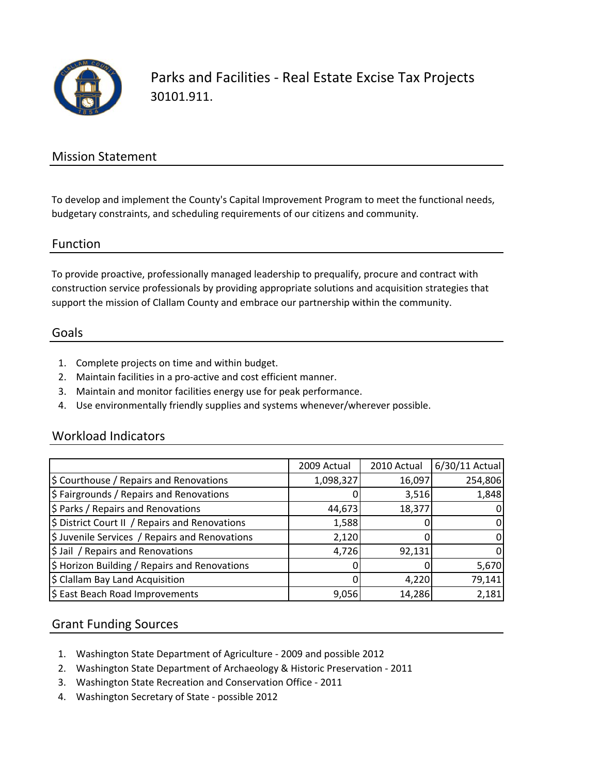

Parks and Facilities ‐ Real Estate Excise Tax Projects 30101.911.

### Mission Statement

To develop and implement the County's Capital Improvement Program to meet the functional needs, budgetary constraints, and scheduling requirements of our citizens and community.

#### Function

To provide proactive, professionally managed leadership to prequalify, procure and contract with construction service professionals by providing appropriate solutions and acquisition strategies that support the mission of Clallam County and embrace our partnership within the community.

#### Goals

- 1. Complete projects on time and within budget.
- 2. Maintain facilities in a pro‐active and cost efficient manner.
- 3. Maintain and monitor facilities energy use for peak performance.
- 4. Use environmentally friendly supplies and systems whenever/wherever possible.

#### Workload Indicators

|                                                | 2009 Actual | 2010 Actual | 6/30/11 Actual |
|------------------------------------------------|-------------|-------------|----------------|
| \$ Courthouse / Repairs and Renovations        | 1,098,327   | 16,097      | 254,806        |
| \$ Fairgrounds / Repairs and Renovations       |             | 3,516       | 1,848          |
| \$ Parks / Repairs and Renovations             | 44,673      | 18,377      |                |
| \$ District Court II / Repairs and Renovations | 1,588       |             | $\Omega$       |
| \$ Juvenile Services / Repairs and Renovations | 2,120       |             |                |
| \$ Jail / Repairs and Renovations              | 4,726       | 92,131      | 0              |
| \$ Horizon Building / Repairs and Renovations  | O           |             | 5,670          |
| \$ Clallam Bay Land Acquisition                |             | 4,220       | 79,141         |
| \$ East Beach Road Improvements                | 9,056       | 14,286      | 2,181          |

#### Grant Funding Sources

- 1. Washington State Department of Agriculture ‐ 2009 and possible 2012
- 2. Washington State Department of Archaeology & Historic Preservation ‐ 2011
- 3. Washington State Recreation and Conservation Office ‐ 2011
- 4. Washington Secretary of State ‐ possible 2012